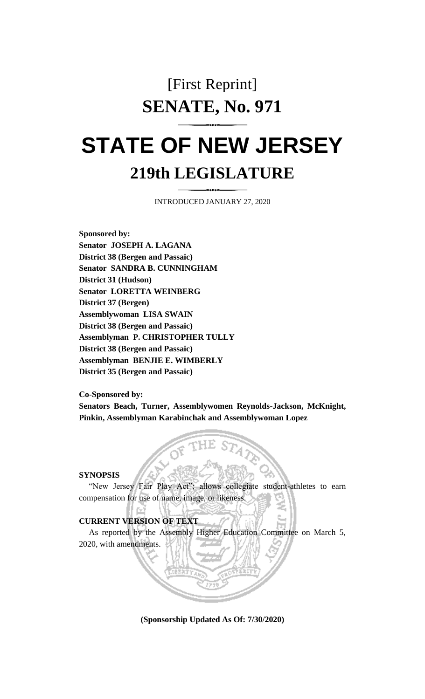## [First Reprint] **SENATE, No. 971**

# **STATE OF NEW JERSEY 219th LEGISLATURE**

INTRODUCED JANUARY 27, 2020

**Sponsored by: Senator JOSEPH A. LAGANA District 38 (Bergen and Passaic) Senator SANDRA B. CUNNINGHAM District 31 (Hudson) Senator LORETTA WEINBERG District 37 (Bergen) Assemblywoman LISA SWAIN District 38 (Bergen and Passaic) Assemblyman P. CHRISTOPHER TULLY District 38 (Bergen and Passaic) Assemblyman BENJIE E. WIMBERLY District 35 (Bergen and Passaic)**

**Co-Sponsored by:**

**Senators Beach, Turner, Assemblywomen Reynolds-Jackson, McKnight, Pinkin, Assemblyman Karabinchak and Assemblywoman Lopez**

**SYNOPSIS**

"New Jersey Fair Play Act"; allows collegiate student-athletes to earn compensation for use of name, image, or likeness.

#### **CURRENT VERSION OF TEXT**

As reported by the Assembly Higher Education Committee on March 5, 2020, with amendments.

**(Sponsorship Updated As Of: 7/30/2020)**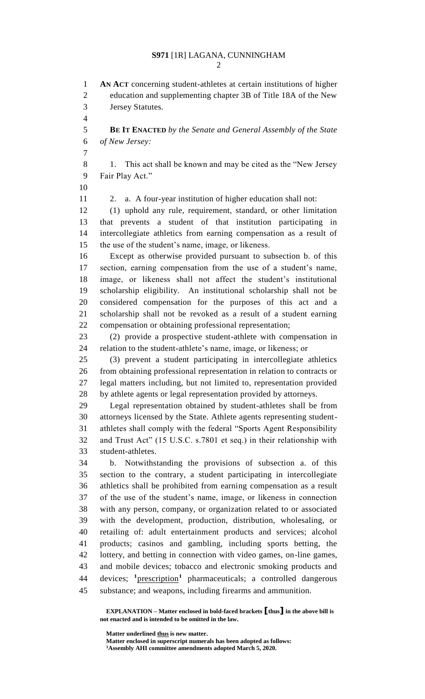**AN ACT** concerning student-athletes at certain institutions of higher education and supplementing chapter 3B of Title 18A of the New Jersey Statutes. **BE IT ENACTED** *by the Senate and General Assembly of the State of New Jersey:* 1. This act shall be known and may be cited as the "New Jersey Fair Play Act." 2. a. A four-year institution of higher education shall not: (1) uphold any rule, requirement, standard, or other limitation that prevents a student of that institution participating in intercollegiate athletics from earning compensation as a result of the use of the student's name, image, or likeness. Except as otherwise provided pursuant to subsection b. of this section, earning compensation from the use of a student's name, image, or likeness shall not affect the student's institutional scholarship eligibility. An institutional scholarship shall not be considered compensation for the purposes of this act and a scholarship shall not be revoked as a result of a student earning compensation or obtaining professional representation; (2) provide a prospective student-athlete with compensation in relation to the student-athlete's name, image, or likeness; or (3) prevent a student participating in intercollegiate athletics from obtaining professional representation in relation to contracts or legal matters including, but not limited to, representation provided by athlete agents or legal representation provided by attorneys. Legal representation obtained by student-athletes shall be from attorneys licensed by the State. Athlete agents representing student- athletes shall comply with the federal "Sports Agent Responsibility and Trust Act" (15 U.S.C. s.7801 et seq.) in their relationship with student-athletes. b. Notwithstanding the provisions of subsection a. of this section to the contrary, a student participating in intercollegiate athletics shall be prohibited from earning compensation as a result of the use of the student's name, image, or likeness in connection with any person, company, or organization related to or associated with the development, production, distribution, wholesaling, or retailing of: adult entertainment products and services; alcohol products; casinos and gambling, including sports betting, the lottery, and betting in connection with video games, on-line games, and mobile devices; tobacco and electronic smoking products and 44 devices; <sup>1</sup>prescription<sup>1</sup> pharmaceuticals; a controlled dangerous substance; and weapons, including firearms and ammunition.

**EXPLANATION – Matter enclosed in bold-faced brackets [thus] in the above bill is not enacted and is intended to be omitted in the law.**

**Matter underlined thus is new matter. Matter enclosed in superscript numerals has been adopted as follows:**

**Assembly AHI committee amendments adopted March 5, 2020.**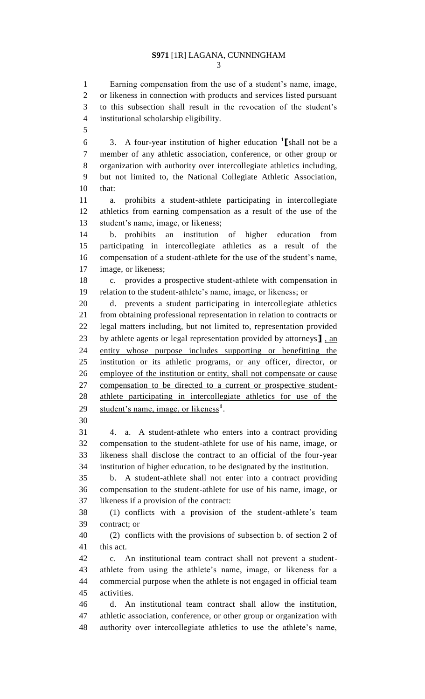### **S971** [1R] LAGANA, CUNNINGHAM

 Earning compensation from the use of a student's name, image, or likeness in connection with products and services listed pursuant to this subsection shall result in the revocation of the student's institutional scholarship eligibility.

3. A four-year institution of higher education **<sup>1</sup> [**shall not be a member of any athletic association, conference, or other group or organization with authority over intercollegiate athletics including, but not limited to, the National Collegiate Athletic Association, that:

 a. prohibits a student-athlete participating in intercollegiate athletics from earning compensation as a result of the use of the student's name, image, or likeness;

 b. prohibits an institution of higher education from participating in intercollegiate athletics as a result of the compensation of a student-athlete for the use of the student's name, image, or likeness;

 c. provides a prospective student-athlete with compensation in relation to the student-athlete's name, image, or likeness; or

 d. prevents a student participating in intercollegiate athletics from obtaining professional representation in relation to contracts or legal matters including, but not limited to, representation provided by athlete agents or legal representation provided by attorneys**]** , an entity whose purpose includes supporting or benefitting the institution or its athletic programs, or any officer, director, or employee of the institution or entity, shall not compensate or cause compensation to be directed to a current or prospective student- athlete participating in intercollegiate athletics for use of the 29 student's name, image, or likeness<sup>1</sup>.

 4. a. A student-athlete who enters into a contract providing compensation to the student-athlete for use of his name, image, or likeness shall disclose the contract to an official of the four-year institution of higher education, to be designated by the institution.

 b. A student-athlete shall not enter into a contract providing compensation to the student-athlete for use of his name, image, or likeness if a provision of the contract:

 (1) conflicts with a provision of the student-athlete's team contract; or

 (2) conflicts with the provisions of subsection b. of section 2 of this act.

 c. An institutional team contract shall not prevent a student- athlete from using the athlete's name, image, or likeness for a commercial purpose when the athlete is not engaged in official team activities.

 d. An institutional team contract shall allow the institution, athletic association, conference, or other group or organization with authority over intercollegiate athletics to use the athlete's name,